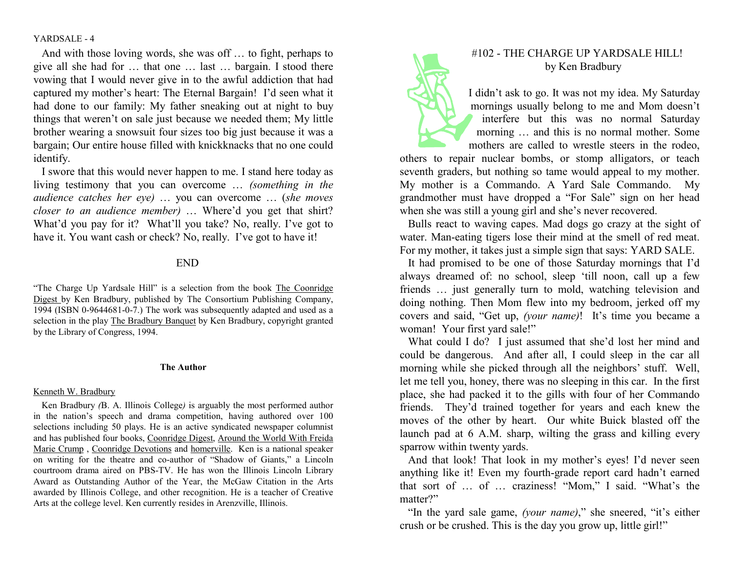YARDSALE - 4

And with those loving words, she was off … to fight, perhaps to give all she had for … that one … last … bargain. I stood there vowing that I would never give in to the awful addiction that had captured my mother's heart: The Eternal Bargain! I'd seen what it had done to our family: My father sneaking out at night to buy things that weren't on sale just because we needed them; My little brother wearing a snowsuit four sizes too big just because it was a bargain; Our entire house filled with knickknacks that no one could identify.

 I swore that this would never happen to me. I stand here today as living testimony that you can overcome ... (something in the audience catches her eye) … you can overcome … (she moves closer to an audience member) ... Where'd you get that shirt?<br>What'd you pay for it? What'll you take? No really I've got to What'd you pay for it? What'll you take? No, really. I've got to have it. You want cash or check? No, really. I've got to have it!

## END

"The Charge Up Yardsale Hill" is a selection from the book The Coonridge Digest by Ken Bradbury, published by The Consortium Publishing Company, 1994 (ISBN 0-9644681-0-7.) The work was subsequently adapted and used as a selection in the play The Bradbury Banquet by Ken Bradbury, copyright granted by the Library of Congress, 1994.

### The Author

#### Kenneth W. Bradbury

Ken Bradbury (B. A. Illinois College) is arguably the most performed author in the nation's speech and drama competition, having authored over 100 selections including 50 plays. He is an active syndicated newspaper columnist and has published four books, Coonridge Digest, Around the World With Freida Marie Crump, Coonridge Devotions and homerville. Ken is a national speaker on writing for the theatre and co-author of "Shadow of Giants," a Lincoln courtroom drama aired on PBS-TV. He has won the Illinois Lincoln Library Award as Outstanding Author of the Year, the McGaw Citation in the Arts awarded by Illinois College, and other recognition. He is a teacher of Creative Arts at the college level. Ken currently resides in Arenzville, Illinois.

# #102 - THE CHARGE UP YARDSALE HILL! by Ken Bradbury

I didn't ask to go. It was not my idea. My Saturday mornings usually belong to me and Mom doesn't interfere but this was no normal Saturday morning … and this is no normal mother. Some mothers are called to wrestle steers in the rodeo,

others to repair nuclear bombs, or stomp alligators, or teach seventh graders, but nothing so tame would appeal to my mother. My mother is a Commando. A Yard Sale Commando. My grandmother must have dropped a "For Sale" sign on her head when she was still a young girl and she's never recovered.

 Bulls react to waving capes. Mad dogs go crazy at the sight of water. Man-eating tigers lose their mind at the smell of red meat. For my mother, it takes just a simple sign that says: YARD SALE.

 It had promised to be one of those Saturday mornings that I'd always dreamed of: no school, sleep 'till noon, call up a few friends … just generally turn to mold, watching television and doing nothing. Then Mom flew into my bedroom, jerked off my covers and said, "Get up, (your name)! It's time you became a woman! Your first yard sale!"

What could I do? I just assumed that she'd lost her mind and could be dangerous. And after all, I could sleep in the car all morning while she picked through all the neighbors' stuff. Well, let me tell you, honey, there was no sleeping in this car. In the first place, she had packed it to the gills with four of her Commando friends. They'd trained together for years and each knew the moves of the other by heart. Our white Buick blasted off the launch pad at 6 A.M. sharp, wilting the grass and killing every sparrow within twenty yards.

 And that look! That look in my mother's eyes! I'd never seen anything like it! Even my fourth-grade report card hadn't earned that sort of … of … craziness! "Mom," I said. "What's the matter?"

"In the yard sale game, (your name)," she sneered, "it's either crush or be crushed. This is the day you grow up, little girl!"